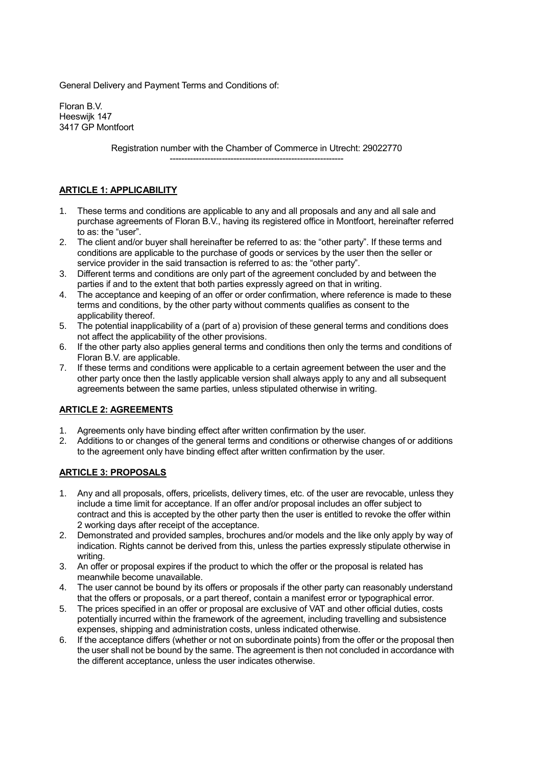General Delivery and Payment Terms and Conditions of:

Floran B.V. Heeswijk 147 3417 GP Montfoort

> Registration number with the Chamber of Commerce in Utrecht: 29022770 ------------------------------------------------------------

#### **ARTICLE 1: APPLICABILITY**

- 1. These terms and conditions are applicable to any and all proposals and any and all sale and purchase agreements of Floran B.V., having its registered office in Montfoort, hereinafter referred to as: the "user".
- 2. The client and/or buyer shall hereinafter be referred to as: the "other party". If these terms and conditions are applicable to the purchase of goods or services by the user then the seller or service provider in the said transaction is referred to as: the "other party".
- 3. Different terms and conditions are only part of the agreement concluded by and between the parties if and to the extent that both parties expressly agreed on that in writing.
- 4. The acceptance and keeping of an offer or order confirmation, where reference is made to these terms and conditions, by the other party without comments qualifies as consent to the applicability thereof.
- 5. The potential inapplicability of a (part of a) provision of these general terms and conditions does not affect the applicability of the other provisions.
- 6. If the other party also applies general terms and conditions then only the terms and conditions of Floran B.V. are applicable.
- 7. If these terms and conditions were applicable to a certain agreement between the user and the other party once then the lastly applicable version shall always apply to any and all subsequent agreements between the same parties, unless stipulated otherwise in writing.

## **ARTICLE 2: AGREEMENTS**

- 1. Agreements only have binding effect after written confirmation by the user.
- 2. Additions to or changes of the general terms and conditions or otherwise changes of or additions to the agreement only have binding effect after written confirmation by the user.

#### **ARTICLE 3: PROPOSALS**

- 1. Any and all proposals, offers, pricelists, delivery times, etc. of the user are revocable, unless they include a time limit for acceptance. If an offer and/or proposal includes an offer subject to contract and this is accepted by the other party then the user is entitled to revoke the offer within 2 working days after receipt of the acceptance.
- 2. Demonstrated and provided samples, brochures and/or models and the like only apply by way of indication. Rights cannot be derived from this, unless the parties expressly stipulate otherwise in writing.
- 3. An offer or proposal expires if the product to which the offer or the proposal is related has meanwhile become unavailable.
- 4. The user cannot be bound by its offers or proposals if the other party can reasonably understand that the offers or proposals, or a part thereof, contain a manifest error or typographical error.
- 5. The prices specified in an offer or proposal are exclusive of VAT and other official duties, costs potentially incurred within the framework of the agreement, including travelling and subsistence expenses, shipping and administration costs, unless indicated otherwise.
- 6. If the acceptance differs (whether or not on subordinate points) from the offer or the proposal then the user shall not be bound by the same. The agreement is then not concluded in accordance with the different acceptance, unless the user indicates otherwise.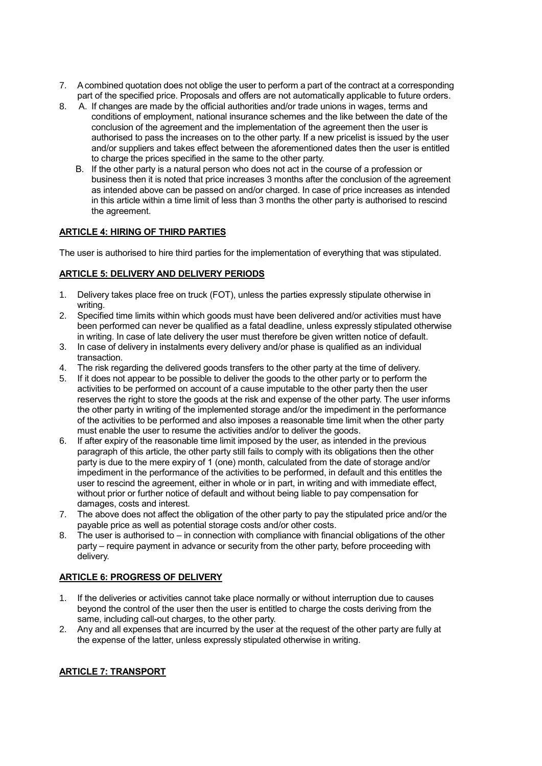- 7. Acombined quotation does not oblige the user to perform a part of the contract at a corresponding part of the specified price. Proposals and offers are not automatically applicable to future orders.
- 8. A. If changes are made by the official authorities and/or trade unions in wages, terms and conditions of employment, national insurance schemes and the like between the date of the conclusion of the agreement and the implementation of the agreement then the user is authorised to pass the increases on to the other party. If a new pricelist is issued by the user and/or suppliers and takes effect between the aforementioned dates then the user is entitled to charge the prices specified in the same to the other party.
	- B. If the other party is a natural person who does not act in the course of a profession or business then it is noted that price increases 3 months after the conclusion of the agreement as intended above can be passed on and/or charged. In case of price increases as intended in this article within a time limit of less than 3 months the other party is authorised to rescind the agreement.

## **ARTICLE 4: HIRING OF THIRD PARTIES**

The user is authorised to hire third parties for the implementation of everything that was stipulated.

#### **ARTICLE 5: DELIVERY AND DELIVERY PERIODS**

- 1. Delivery takes place free on truck (FOT), unless the parties expressly stipulate otherwise in writing.
- 2. Specified time limits within which goods must have been delivered and/or activities must have been performed can never be qualified as a fatal deadline, unless expressly stipulated otherwise in writing. In case of late delivery the user must therefore be given written notice of default.
- 3. In case of delivery in instalments every delivery and/or phase is qualified as an individual transaction.<br>The risk regarding the delivered goods transfers to the other party at the time of delivery.
- 4. The risk regarding the delivered goods transfers to the other party at the time of delivery.
- 5. If it does not appear to be possible to deliver the goods to the other party or to perform the activities to be performed on account of a cause imputable to the other party then the user reserves the right to store the goods at the risk and expense of the other party. The user informs the other party in writing of the implemented storage and/or the impediment in the performance of the activities to be performed and also imposes a reasonable time limit when the other party must enable the user to resume the activities and/or to deliver the goods.
- 6. If after expiry of the reasonable time limit imposed by the user, as intended in the previous paragraph of this article, the other party still fails to comply with its obligations then the other party is due to the mere expiry of 1 (one) month, calculated from the date of storage and/or impediment in the performance of the activities to be performed, in default and this entitles the user to rescind the agreement, either in whole or in part, in writing and with immediate effect, without prior or further notice of default and without being liable to pay compensation for damages, costs and interest.
- 7. The above does not affect the obligation of the other party to pay the stipulated price and/or the payable price as well as potential storage costs and/or other costs.
- 8. The user is authorised to in connection with compliance with financial obligations of the other party – require payment in advance or security from the other party, before proceeding with delivery.

#### **ARTICLE 6: PROGRESS OF DELIVERY**

- 1. If the deliveries or activities cannot take place normally or without interruption due to causes beyond the control of the user then the user is entitled to charge the costs deriving from the same, including call-out charges, to the other party.
- 2. Any and all expenses that are incurred by the user at the request of the other party are fully at the expense of the latter, unless expressly stipulated otherwise in writing.

#### **ARTICLE 7: TRANSPORT**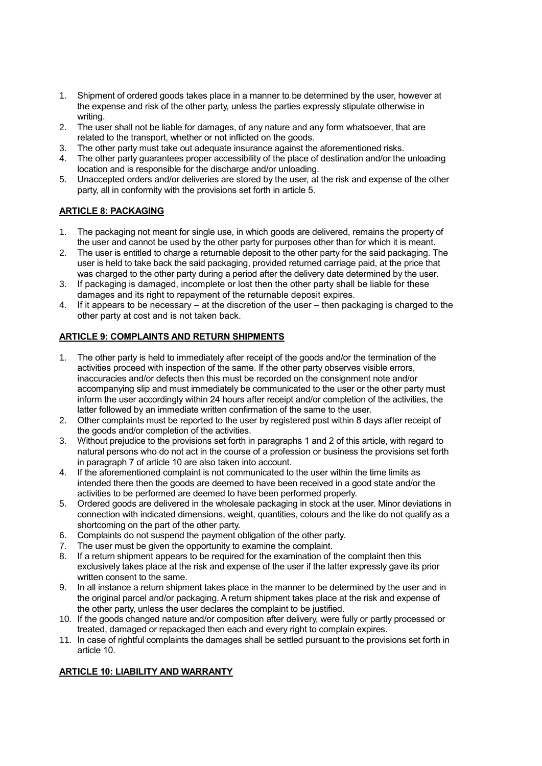- 1. Shipment of ordered goods takes place in a manner to be determined by the user, however at the expense and risk of the other party, unless the parties expressly stipulate otherwise in writing.
- 2. The user shall not be liable for damages, of any nature and any form whatsoever, that are related to the transport, whether or not inflicted on the goods.
- 3. The other party must take out adequate insurance against the aforementioned risks.
- 4. The other party guarantees proper accessibility of the place of destination and/or the unloading location and is responsible for the discharge and/or unloading.
- 5. Unaccepted orders and/or deliveries are stored by the user, at the risk and expense of the other party, all in conformity with the provisions set forth in article 5.

# **ARTICLE 8: PACKAGING**

- 1. The packaging not meant for single use, in which goods are delivered, remains the property of the user and cannot be used by the other party for purposes other than for which it is meant.
- 2. The user is entitled to charge a returnable deposit to the other party for the said packaging. The user is held to take back the said packaging, provided returned carriage paid, at the price that was charged to the other party during a period after the delivery date determined by the user.
- 3. If packaging is damaged, incomplete or lost then the other party shall be liable for these damages and its right to repayment of the returnable deposit expires.
- 4. If it appears to be necessary at the discretion of the user then packaging is charged to the other party at cost and is not taken back.

## **ARTICLE 9: COMPLAINTS AND RETURN SHIPMENTS**

- 1. The other party is held to immediately after receipt of the goods and/or the termination of the activities proceed with inspection of the same. If the other party observes visible errors, inaccuracies and/or defects then this must be recorded on the consignment note and/or accompanying slip and must immediately be communicated to the user or the other party must inform the user accordingly within 24 hours after receipt and/or completion of the activities, the latter followed by an immediate written confirmation of the same to the user.
- 2. Other complaints must be reported to the user by registered post within 8 days after receipt of the goods and/or completion of the activities.
- 3. Without prejudice to the provisions set forth in paragraphs 1 and 2 of this article, with regard to natural persons who do not act in the course of a profession or business the provisions set forth in paragraph 7 of article 10 are also taken into account.
- 4. If the aforementioned complaint is not communicated to the user within the time limits as intended there then the goods are deemed to have been received in a good state and/or the activities to be performed are deemed to have been performed properly.
- 5. Ordered goods are delivered in the wholesale packaging in stock at the user. Minor deviations in connection with indicated dimensions, weight, quantities, colours and the like do not qualify as a shortcoming on the part of the other party.
- 6. Complaints do not suspend the payment obligation of the other party.
- 7. The user must be given the opportunity to examine the complaint.<br>8. If a return shipment appears to be required for the examination of the
- If a return shipment appears to be required for the examination of the complaint then this exclusively takes place at the risk and expense of the user if the latter expressly gave its prior written consent to the same.
- 9. In all instance a return shipment takes place in the manner to be determined by the user and in the original parcel and/or packaging. A return shipment takes place at the risk and expense of the other party, unless the user declares the complaint to be justified.
- 10. If the goods changed nature and/or composition after delivery, were fully or partly processed or treated, damaged or repackaged then each and every right to complain expires.
- 11. In case of rightful complaints the damages shall be settled pursuant to the provisions set forth in article 10.

## **ARTICLE 10: LIABILITY AND WARRANTY**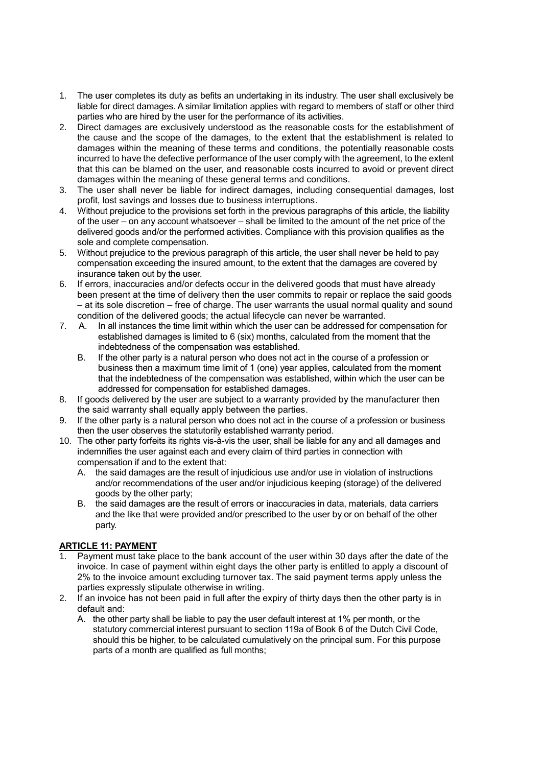- 1. The user completes its duty as befits an undertaking in its industry. The user shall exclusively be liable for direct damages. A similar limitation applies with regard to members of staff or other third parties who are hired by the user for the performance of its activities.
- 2. Direct damages are exclusively understood as the reasonable costs for the establishment of the cause and the scope of the damages, to the extent that the establishment is related to damages within the meaning of these terms and conditions, the potentially reasonable costs incurred to have the defective performance of the user comply with the agreement, to the extent that this can be blamed on the user, and reasonable costs incurred to avoid or prevent direct damages within the meaning of these general terms and conditions.
- 3. The user shall never be liable for indirect damages, including consequential damages, lost profit, lost savings and losses due to business interruptions.
- 4. Without prejudice to the provisions set forth in the previous paragraphs of this article, the liability of the user – on any account whatsoever – shall be limited to the amount of the net price of the delivered goods and/or the performed activities. Compliance with this provision qualifies as the sole and complete compensation.
- 5. Without prejudice to the previous paragraph of this article, the user shall never be held to pay compensation exceeding the insured amount, to the extent that the damages are covered by insurance taken out by the user.
- 6. If errors, inaccuracies and/or defects occur in the delivered goods that must have already been present at the time of delivery then the user commits to repair or replace the said goods – at its sole discretion – free of charge. The user warrants the usual normal quality and sound condition of the delivered goods; the actual lifecycle can never be warranted.
- 7. A. In all instances the time limit within which the user can be addressed for compensation for established damages is limited to 6 (six) months, calculated from the moment that the indebtedness of the compensation was established.
	- B. If the other party is a natural person who does not act in the course of a profession or business then a maximum time limit of 1 (one) year applies, calculated from the moment that the indebtedness of the compensation was established, within which the user can be addressed for compensation for established damages.
- 8. If goods delivered by the user are subject to a warranty provided by the manufacturer then the said warranty shall equally apply between the parties.
- 9. If the other party is a natural person who does not act in the course of a profession or business then the user observes the statutorily established warranty period.
- 10. The other party forfeits its rights vis-à-vis the user, shall be liable for any and all damages and indemnifies the user against each and every claim of third parties in connection with compensation if and to the extent that:
	- A. the said damages are the result of injudicious use and/or use in violation of instructions and/or recommendations of the user and/or injudicious keeping (storage) of the delivered goods by the other party;
	- B. the said damages are the result of errors or inaccuracies in data, materials, data carriers and the like that were provided and/or prescribed to the user by or on behalf of the other party.

## **ARTICLE 11: PAYMENT**

- Payment must take place to the bank account of the user within 30 days after the date of the invoice. In case of payment within eight days the other party is entitled to apply a discount of 2% to the invoice amount excluding turnover tax. The said payment terms apply unless the parties expressly stipulate otherwise in writing.
- 2. If an invoice has not been paid in full after the expiry of thirty days then the other party is in default and:
	- A. the other party shall be liable to pay the user default interest at 1% per month, or the statutory commercial interest pursuant to section 119a of Book 6 of the Dutch Civil Code, should this be higher, to be calculated cumulatively on the principal sum. For this purpose parts of a month are qualified as full months;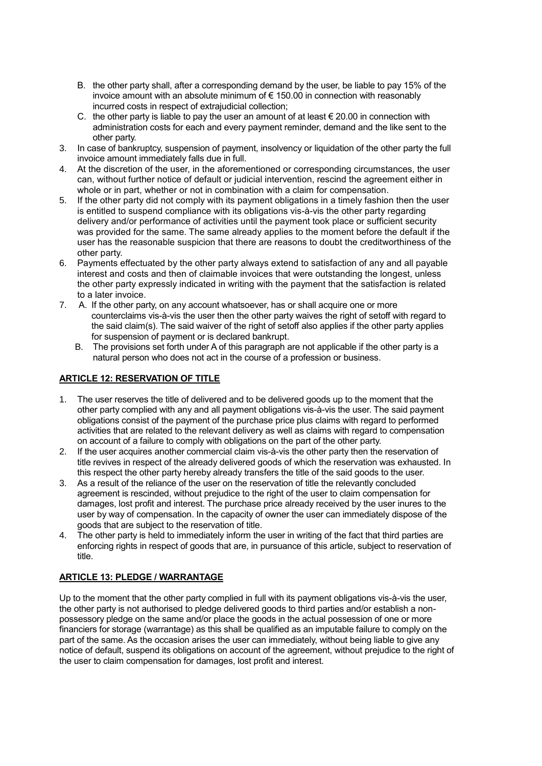- B. the other party shall, after a corresponding demand by the user, be liable to pay 15% of the invoice amount with an absolute minimum of € 150.00 in connection with reasonably incurred costs in respect of extrajudicial collection;
- C. the other party is liable to pay the user an amount of at least  $\epsilon$  20.00 in connection with administration costs for each and every payment reminder, demand and the like sent to the other party.
- 3. In case of bankruptcy, suspension of payment, insolvency or liquidation of the other party the full invoice amount immediately falls due in full.
- 4. At the discretion of the user, in the aforementioned or corresponding circumstances, the user can, without further notice of default or judicial intervention, rescind the agreement either in whole or in part, whether or not in combination with a claim for compensation.
- 5. If the other party did not comply with its payment obligations in a timely fashion then the user is entitled to suspend compliance with its obligations vis-à-vis the other party regarding delivery and/or performance of activities until the payment took place or sufficient security was provided for the same. The same already applies to the moment before the default if the user has the reasonable suspicion that there are reasons to doubt the creditworthiness of the other party.
- 6. Payments effectuated by the other party always extend to satisfaction of any and all payable interest and costs and then of claimable invoices that were outstanding the longest, unless the other party expressly indicated in writing with the payment that the satisfaction is related to a later invoice.
- 7. A. If the other party, on any account whatsoever, has or shall acquire one or more counterclaims vis-à-vis the user then the other party waives the right of setoff with regard to the said claim(s). The said waiver of the right of setoff also applies if the other party applies for suspension of payment or is declared bankrupt.
	- B. The provisions set forth under A of this paragraph are not applicable if the other party is a natural person who does not act in the course of a profession or business.

#### **ARTICLE 12: RESERVATION OF TITLE**

- 1. The user reserves the title of delivered and to be delivered goods up to the moment that the other party complied with any and all payment obligations vis-à-vis the user. The said payment obligations consist of the payment of the purchase price plus claims with regard to performed activities that are related to the relevant delivery as well as claims with regard to compensation on account of a failure to comply with obligations on the part of the other party.
- 2. If the user acquires another commercial claim vis-à-vis the other party then the reservation of title revives in respect of the already delivered goods of which the reservation was exhausted. In this respect the other party hereby already transfers the title of the said goods to the user.
- 3. As a result of the reliance of the user on the reservation of title the relevantly concluded agreement is rescinded, without prejudice to the right of the user to claim compensation for damages, lost profit and interest. The purchase price already received by the user inures to the user by way of compensation. In the capacity of owner the user can immediately dispose of the goods that are subject to the reservation of title.
- 4. The other party is held to immediately inform the user in writing of the fact that third parties are enforcing rights in respect of goods that are, in pursuance of this article, subject to reservation of title.

#### **ARTICLE 13: PLEDGE / WARRANTAGE**

Up to the moment that the other party complied in full with its payment obligations vis-à-vis the user, the other party is not authorised to pledge delivered goods to third parties and/or establish a nonpossessory pledge on the same and/or place the goods in the actual possession of one or more financiers for storage (warrantage) as this shall be qualified as an imputable failure to comply on the part of the same. As the occasion arises the user can immediately, without being liable to give any notice of default, suspend its obligations on account of the agreement, without prejudice to the right of the user to claim compensation for damages, lost profit and interest.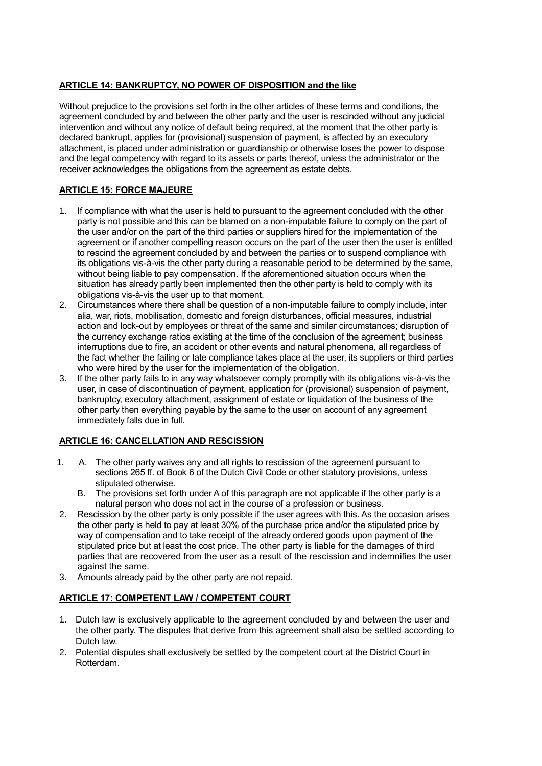## **ARTICLE 14: BANKRUPTCY, NO POWER OF DISPOSITION and the like**

Without prejudice to the provisions set forth in the other articles of these terms and conditions, the agreement concluded by and between the other party and the user is rescinded without any judicial intervention and without any notice of default being required, at the moment that the other party is declared bankrupt, applies for (provisional) suspension of payment, is affected by an executory attachment, is placed under administration or guardianship or otherwise loses the power to dispose and the legal competency with regard to its assets or parts thereof, unless the administrator or the receiver acknowledges the obligations from the agreement as estate debts.

## **ARTICLE 15: FORCE MAJEURE**

- 1. If compliance with what the user is held to pursuant to the agreement concluded with the other party is not possible and this can be blamed on a non-imputable failure to comply on the part of the user and/or on the part of the third parties or suppliers hired for the implementation of the agreement or if another compelling reason occurs on the part of the user then the user is entitled to rescind the agreement concluded by and between the parties or to suspend compliance with its obligations vis-à-vis the other party during a reasonable period to be determined by the same, without being liable to pay compensation. If the aforementioned situation occurs when the situation has already partly been implemented then the other party is held to comply with its obligations vis-à-vis the user up to that moment.
- 2. Circumstances where there shall be question of a non-imputable failure to comply include, inter alia, war, riots, mobilisation, domestic and foreign disturbances, official measures, industrial action and lock-out by employees or threat of the same and similar circumstances; disruption of the currency exchange ratios existing at the time of the conclusion of the agreement; business interruptions due to fire, an accident or other events and natural phenomena, all regardless of the fact whether the failing or late compliance takes place at the user, its suppliers or third parties who were hired by the user for the implementation of the obligation.
- 3. If the other party fails to in any way whatsoever comply promptly with its obligations vis-à-vis the user, in case of discontinuation of payment, application for (provisional) suspension of payment, bankruptcy, executory attachment, assignment of estate or liquidation of the business of the other party then everything payable by the same to the user on account of any agreement immediately falls due in full.

## **ARTICLE 16: CANCELLATION AND RESCISSION**

- 1. A. The other party waives any and all rights to rescission of the agreement pursuant to sections 265 ff. of Book 6 of the Dutch Civil Code or other statutory provisions, unless stipulated otherwise.
	- B. The provisions set forth under A of this paragraph are not applicable if the other party is a natural person who does not act in the course of a profession or business.
- 2. Rescission by the other party is only possible if the user agrees with this. As the occasion arises the other party is held to pay at least 30% of the purchase price and/or the stipulated price by way of compensation and to take receipt of the already ordered goods upon payment of the stipulated price but at least the cost price. The other party is liable for the damages of third parties that are recovered from the user as a result of the rescission and indemnifies the user against the same.
- 3. Amounts already paid by the other party are not repaid.

## **ARTICLE 17: COMPETENT LAW / COMPETENT COURT**

- 1. Dutch law is exclusively applicable to the agreement concluded by and between the user and the other party. The disputes that derive from this agreement shall also be settled according to Dutch law.
- 2. Potential disputes shall exclusively be settled by the competent court at the District Court in Rotterdam.